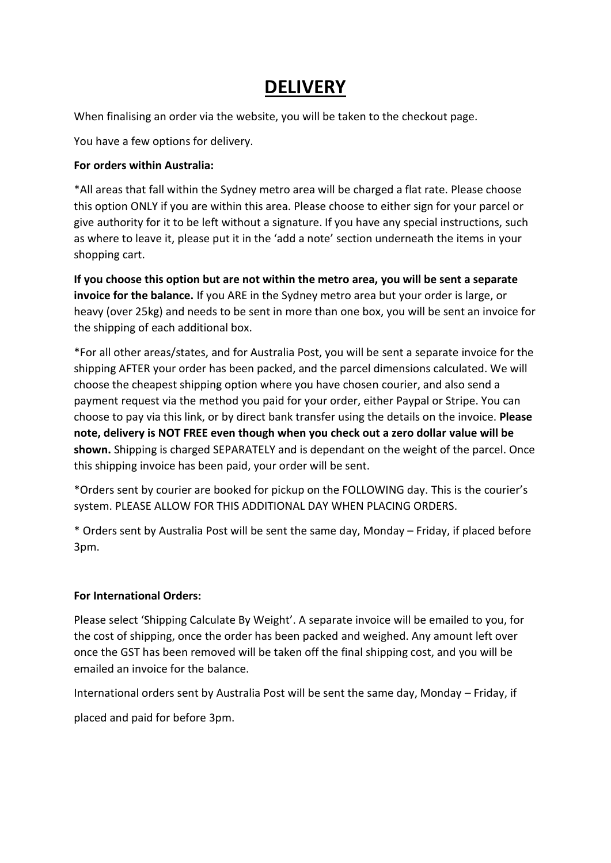## **DELIVERY**

When finalising an order via the website, you will be taken to the checkout page.

You have a few options for delivery.

## **For orders within Australia:**

\*All areas that fall within the Sydney metro area will be charged a flat rate. Please choose this option ONLY if you are within this area. Please choose to either sign for your parcel or give authority for it to be left without a signature. If you have any special instructions, such as where to leave it, please put it in the 'add a note' section underneath the items in your shopping cart.

**If you choose this option but are not within the metro area, you will be sent a separate invoice for the balance.** If you ARE in the Sydney metro area but your order is large, or heavy (over 25kg) and needs to be sent in more than one box, you will be sent an invoice for the shipping of each additional box.

\*For all other areas/states, and for Australia Post, you will be sent a separate invoice for the shipping AFTER your order has been packed, and the parcel dimensions calculated. We will choose the cheapest shipping option where you have chosen courier, and also send a payment request via the method you paid for your order, either Paypal or Stripe. You can choose to pay via this link, or by direct bank transfer using the details on the invoice. **Please note, delivery is NOT FREE even though when you check out a zero dollar value will be shown.** Shipping is charged SEPARATELY and is dependant on the weight of the parcel. Once this shipping invoice has been paid, your order will be sent.

\*Orders sent by courier are booked for pickup on the FOLLOWING day. This is the courier's system. PLEASE ALLOW FOR THIS ADDITIONAL DAY WHEN PLACING ORDERS.

\* Orders sent by Australia Post will be sent the same day, Monday – Friday, if placed before 3pm.

## **For International Orders:**

Please select 'Shipping Calculate By Weight'. A separate invoice will be emailed to you, for the cost of shipping, once the order has been packed and weighed. Any amount left over once the GST has been removed will be taken off the final shipping cost, and you will be emailed an invoice for the balance.

International orders sent by Australia Post will be sent the same day, Monday – Friday, if

placed and paid for before 3pm.